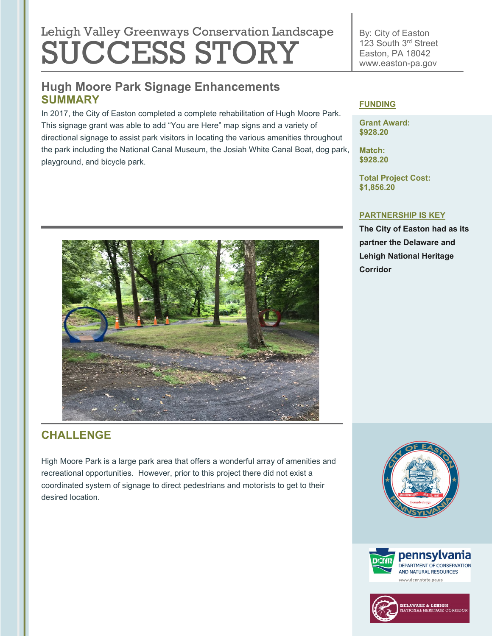# Lehigh Valley Greenways Conservation Landscape SUCCESS STORY

## **Hugh Moore Park Signage Enhancements SUMMARY**

In 2017, the City of Easton completed a complete rehabilitation of Hugh Moore Park. This signage grant was able to add "You are Here" map signs and a variety of directional signage to assist park visitors in locating the various amenities throughout the park including the National Canal Museum, the Josiah White Canal Boat, dog park, playground, and bicycle park.



#### **FUNDING**

**Grant Award: \$928.20**

By: City of Easton 123 South 3rd Street Easton, PA 18042 www.easton-pa.gov

**Match: \$928.20**

**Total Project Cost: \$1,856.20**

#### **PARTNERSHIP IS KEY**

**The City of Easton had as its partner the Delaware and Lehigh National Heritage Corridor**

## **CHALLENGE**

High Moore Park is a large park area that offers a wonderful array of amenities and recreational opportunities. However, prior to this project there did not exist a coordinated system of signage to direct pedestrians and motorists to get to their desired location.